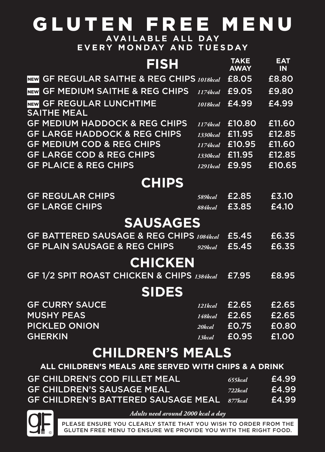## GLUTEN FREE MENU **AVAILABLE ALL DAY**

**EVERY MONDAY AND TUESDAY**

| <b>FISH</b>                                                     |          | <b>TAKE</b><br><b>AWAY</b> | <b>EAT</b><br><b>IN</b> |
|-----------------------------------------------------------------|----------|----------------------------|-------------------------|
| <b>GF REGULAR SAITHE &amp; REG CHIPS 1018kcal</b><br><b>NEW</b> |          | £8.05                      | £8.80                   |
| NEW GF MEDIUM SAITHE & REG CHIPS                                | 1174kcal | £9.05                      | £9.80                   |
| NEW GF REGULAR LUNCHTIME<br><b>SAITHE MEAL</b>                  | 1018kcal | £4.99                      | £4.99                   |
| <b>GF MEDIUM HADDOCK &amp; REG CHIPS</b>                        | 1174kcal | £10.80                     | £11.60                  |
| <b>GF LARGE HADDOCK &amp; REG CHIPS</b>                         | 1330kcal | £11.95                     | £12.85                  |
| <b>GF MEDIUM COD &amp; REG CHIPS</b>                            | 1174kcal | £10.95                     | £11.60                  |
| <b>GF LARGE COD &amp; REG CHIPS</b>                             | 1330kcal | £11.95                     | £12.85                  |
| <b>GF PLAICE &amp; REG CHIPS</b>                                | 1291kcal | £9.95                      | £10.65                  |
| <b>CHIPS</b>                                                    |          |                            |                         |
| <b>GF REGULAR CHIPS</b>                                         | 589kcal  | £2.85                      | £3.10                   |
| <b>GF LARGE CHIPS</b>                                           | 884kcal  | £3.85                      | £4.10                   |
| <b>SAUSAGES</b>                                                 |          |                            |                         |
| <b>GF BATTERED SAUSAGE &amp; REG CHIPS 1084kcal</b>             |          | £5.45                      | £6.35                   |
| <b>GF PLAIN SAUSAGE &amp; REG CHIPS</b>                         | 929kcal  | £5.45                      | £6.35                   |
| <b>CHICKEN</b>                                                  |          |                            |                         |
| <b>GF 1/2 SPIT ROAST CHICKEN &amp; CHIPS 1384kcal</b>           |          | £7.95                      | £8.95                   |
| <b>SIDES</b>                                                    |          |                            |                         |
| <b>GF CURRY SAUCE</b>                                           | 121kcal  | £2.65                      | £2.65                   |
| <b>MUSHY PEAS</b>                                               | 148kcal  | £2.65                      | £2.65                   |
| <b>PICKLED ONION</b>                                            | 20kcal   | £0.75                      | £0.80                   |
| <b>GHERKIN</b>                                                  | 13kcal   | £0.95                      | £1.00                   |
| <b>CHILDREN'S MEALS</b>                                         |          |                            |                         |
| ALL CHILDREN'S MEALS ARE SERVED WITH CHIPS & A DRINK            |          |                            |                         |
| <b>GF CHILDREN'S COD FILLET MEAL</b>                            |          | 655kcal                    | £4.99                   |

| <b>GF CHILDREN'S COD FILLET MEAL</b>        | 655kcal | £4.99 |
|---------------------------------------------|---------|-------|
| <b>GF CHILDREN'S SAUSAGE MEAL</b>           | 722kcal | £4.99 |
| GF CHILDREN'S BATTERED SAUSAGE MEAL 877kcal |         | £4.99 |



*Adults need around 2000 kcal a day*